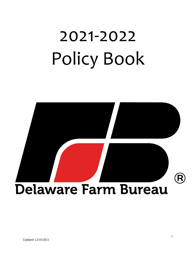# 2021-2022 Policy Book

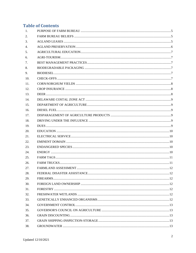# **Table of Contents**

| 1.             |  |
|----------------|--|
| 2.             |  |
| 3.             |  |
| 4.             |  |
| 5 <sub>1</sub> |  |
| 6.             |  |
| 7.             |  |
| 8.             |  |
| 9.             |  |
| 10.            |  |
| 11.            |  |
| 12.            |  |
| 13.            |  |
| 14.            |  |
| 15.            |  |
| 16.            |  |
| 17.            |  |
| 18.            |  |
| 19.            |  |
| 20.            |  |
| 21.            |  |
| 22.            |  |
| 23.            |  |
| 24.            |  |
| 25.            |  |
| 26.            |  |
| 27.            |  |
| 28.            |  |
| 29.            |  |
| 30.            |  |
| 31.            |  |
| 32.            |  |
| 33.            |  |
| 34.            |  |
| 35.            |  |
| 36.            |  |
| 37.            |  |
| 38.            |  |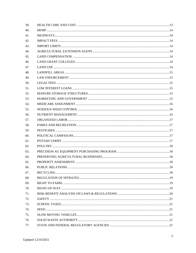| 39. |  |
|-----|--|
| 40. |  |
| 41. |  |
| 42. |  |
| 43. |  |
| 44. |  |
| 45. |  |
| 46. |  |
| 47. |  |
| 48. |  |
| 49. |  |
| 50. |  |
| 51. |  |
| 52. |  |
| 53. |  |
| 54. |  |
| 55. |  |
| 56. |  |
| 57. |  |
| 58. |  |
| 59. |  |
| 60. |  |
| 61. |  |
| 62. |  |
| 63. |  |
| 64. |  |
| 65. |  |
| 66. |  |
| 67. |  |
| 68. |  |
| 69. |  |
| 70. |  |
| 71. |  |
| 72. |  |
| 73. |  |
| 74. |  |
| 75. |  |
| 76. |  |
| 77. |  |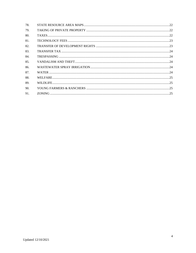| 78. |  |
|-----|--|
| 79. |  |
| 80. |  |
| 81. |  |
| 82. |  |
| 83. |  |
| 84. |  |
| 85. |  |
| 86. |  |
| 87. |  |
| 88. |  |
| 89. |  |
| 90. |  |
| 91. |  |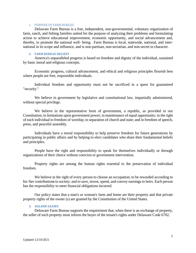# 1. PURPOSE OF FARM BUREAU

<span id="page-4-0"></span>Delaware Farm Bureau is a free, independent, non-governmental, voluntary organization of farm, ranch, and fishing families united for the purpose of analyzing their problems and formulating action to achieve educational improvement, economic opportunity, and social advancement and, thereby, to promote the national well- being. Farm Bureau is local, statewide, national, and international in its scope and influence, and is non-partisan, non-sectarian, and non-secret in character.

#### <span id="page-4-1"></span>**2. FARM BUREAU BELIEFS**

America's unparalleled progress is based on freedom and dignity of the individual, sustained by basic moral and religious concepts.

Economic progress, cultural advancement, and ethical and religious principles flourish best where people are free, responsible individuals.

Individual freedom and opportunity must not be sacrificed in a quest for guaranteed "security."

We believe in government by legislative and constitutional law, impartially administered, without special privilege.

We believe in the representative form of government, a republic, as provided in our Constitution; in limitations upon government power; in maintenance of equal opportunity; in the right of each individual to freedom of worship; in separation of church and state; and in freedom of speech, press, and peaceful assembly.

Individuals have a moral responsibility to help preserve freedom for future generations by participating in public affairs and by helping to elect candidates who share their fundamental beliefs and principles.

People have the right and responsibility to speak for themselves individually or through organizations of their choice without coercion or government intervention.

Property rights are among the human rights essential to the preservation of individual freedom.

We believe in the right of every person to choose an occupation; to be rewarded according to his /her contributions to society; and to save, invest, spend, and convey earnings to heirs. Each person has the responsibility to meet financial obligations incurred.

Our policy states that a man's or woman's farm and home are their property and that private property rights of the owner (s) are granted by the Constitution of the United States.

# <span id="page-4-2"></span>**3. AGLAND LEASES**

Delaware Farm Bureau supports the requirement that, when there is an exchange of property, the seller of such property must inform the buyer of the tenant's rights under Delaware Code 6702.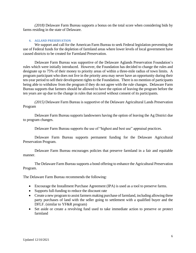*(2018)* Delaware Farm Bureau supports a bonus on the total score when considering bids by farms residing in the state of Delaware.

# <span id="page-5-0"></span>**4. AGLAND PRESERVATION**

We support and call for the American Farm Bureau to seek Federal legislation preventing the use of Federal funds for the depletion of farmland areas where lower levels of local government have caused districts to be created for Farmland Preservation.

Delaware Farm Bureau was supportive of the Delaware Aglands Preservation Foundation's rules which were initially introduced. However, the Foundation has decided to change the rules and designate up to 75% of their money to priority areas of within a three-mile radius of town limits. A program participant who does not live in the priority area may never have an opportunity during their ten-year period to sell their development rights to the Foundation. There is no mention of participants being able to withdraw from the program if they do not agree with the rule changes. Delaware Farm Bureau supports that farmers should be allowed to have the option of leaving the program before the ten years are up due to the change in rules that occurred without consent of its participants.

*(2015)* Delaware Farm Bureau is supportive of the Delaware Agricultural Lands Preservation Program

Delaware Farm Bureau supports landowners having the option of leaving the Ag District due to program changes.

Delaware Farm Bureau supports the use of "highest and best use" appraisal practices.

Delaware Farm Bureau supports permanent funding for the Delaware Agricultural Preservation Program.

Delaware Farm Bureau encourages policies that preserve farmland in a fair and equitable manner.

The Delaware Farm Bureau supports a bond offering to enhance the Agricultural Preservation Program.

The Delaware Farm Bureau recommends the following:

- Encourage the Installment Purchase Agreement (IPA) is used as a tool to preserve farms.
- Supports full-funding to reduce the discount rate
- Create a new program to assist farmers making purchase of farmland, including allowing three party purchases of land with the seller going to settlement with a qualified buyer and the DFLF. (similar to YF&R program)
- Set aside or create a revolving fund used to take immediate action to preserve or protect farmland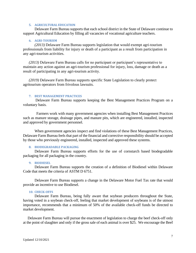# **5. AGRICULTURAL EDUCATION**

<span id="page-6-0"></span>Delaware Farm Bureau supports that each school district in the State of Delaware continue to support Agricultural Education by filling all vacancies of vocational agriculture teachers.

# <span id="page-6-1"></span>**6. AGRI-TOURISM**

*(2013)* Delaware Farm Bureau supports legislation that would exempt agri-tourism professionals from liability for injury or death of a participant as a result from participation in any agri-tourism activities.

*(2013)* Delaware Farm Bureau calls for no participant or participant's representative to maintain any action against an agri-tourism professional for injury, loss, damage or death as a result of participating in any agri-tourism activity.

*(2019)* Delaware Farm Bureau supports specific State Legislation to clearly protect agritourism operators from frivolous lawsuits.

# <span id="page-6-2"></span>**7. BEST MANAGEMENT PRACTICES**

 Delaware Farm Bureau supports keeping the Best Management Practices Program on a voluntary basis.

 Farmers work with many government agencies when installing Best Management Practices such as manure storage, drainage pipes, and manure pits, which are engineered, installed, inspected and approved by government personnel.

When government agencies inspect and find violations of these Best Management Practices, Delaware Farm Bureau feels that part of the financial and corrective responsibility should be accepted by those who previously engineered, installed, inspected and approved these systems.

#### <span id="page-6-3"></span>**8. BIODEGRADABLE PACKAGING**

Delaware Farm Bureau supports efforts for the use of cornstarch based biodegradable packaging for all packaging in the country.

#### <span id="page-6-4"></span>**9. BIODIESEL**

Delaware Farm Bureau supports the creation of a definition of Biodiesel within Delaware Code that meets the criteria of ASTM D 6751.

Delaware Farm Bureau supports a change in the Delaware Motor Fuel Tax rate that would provide an incentive to use Biodiesel.

# **10. CHECK-OFFS**

<span id="page-6-5"></span>Delaware Farm Bureau, being fully aware that soybean producers throughout the State, having voted in a soybean check-off, feeling that market development of soybeans is of the utmost importance, recommends that a minimum of 50% of the available check-off funds be directed to market development.

 Delaware Farm Bureau will pursue the enactment of legislation to charge the beef check-off only at the point of slaughter and only if the gross sale of each animal is over \$25. We encourage the Beef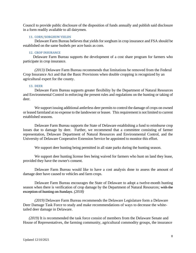Council to provide public disclosure of the disposition of funds annually and publish said disclosure in a form readily available to all dairymen.

# <span id="page-7-0"></span>**11. CORN/SORGHUM YIELDS**

Delaware Farm Bureau believes that yields for sorghum in crop insurance and FSA should be established on the same bushels per acre basis as corn.

# <span id="page-7-1"></span>**12. CROP INSURANCE**

 Delaware Farm Bureau supports the development of a cost share program for farmers who participate in crop insurance.

*(2013)* Delaware Farm Bureau recommends that limitations be removed from the Federal Crop Insurance Act and that the Basic Provisions when double cropping is recognized by an agricultural expert for the county.

# <span id="page-7-2"></span>**13. DEER**

Delaware Farm Bureau supports greater flexibility by the Department of Natural Resources and Environmental Control in enforcing the present rules and regulations on the hunting or taking of deer.

We support issuing additional antlerless deer permits to control the damage of crops on owned or leased farmland at no expense to the landowner or leasee. This requirement is not limited to current established seasons.

Delaware Farm Bureau supports the State of Delaware establishing a fund to reimburse crop losses due to damage by deer. Further, we recommend that a committee consisting of farmer representation, Delaware Department of Natural Resources and Environmental Control, and the University of Delaware Cooperative Extension Service be appointed to monitor this effort.

We support deer hunting being permitted in all state parks during the hunting season.

We support deer hunting license fees being waived for farmers who hunt on land they lease, provided they have the owner's consent.

Delaware Farm Bureau would like to have a cost analysis done to assess the amount of damage deer have caused to vehicles and farm crops.

Delaware Farm Bureau encourages the State of Delaware to adopt a twelve-month hunting season when there is verification of crop damage by the Department of Natural Resources; with the exception of hunting on Sundays. *(2018)*

*(2019)* Delaware Farm Bureau recommends the Delaware Legislature form a Delaware Deer Damage Task Force to study and make recommendations of ways to decrease the whitetailed deer damage in Delaware.

*(2019)* It is recommended the task force consist of members from the Delaware Senate and House of Representatives, the farming community, agricultural commodity groups, the insurance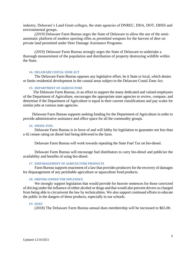industry, Delaware's Land Grant colleges, the state agencies of DNREC, DDA, DOT, DHSS and environmental groups.

*(2019)* Delaware Farm Bureau urges the State of Delaware to allow the use of the semiautomatic platform of modern sporting rifles as permitted weapons for the harvest of deer on private land permitted under Deer Damage Assistance Programs.

*(2019)* Delaware Farm Bureau strongly urges the State of Delaware to undertake a thorough measurement of the population and distribution of property destroying wildlife within the State.

#### **14. DELAWARE COSTAL ZONE ACT**

<span id="page-8-0"></span>The Delaware Farm Bureau opposes any legislative effort, be it State or local, which denies or limits residential development in the coastal areas subject to the Delaware Costal Zone Act.

# <span id="page-8-1"></span>**15. DEPARTMENT OF AGRICULTURE**

 The Delaware Farm Bureau, in an effort to support the many dedicated and valued employees of the Department of Agriculture, encourages the appropriate state agencies to review, compare, and determine if the Department of Agriculture is equal in their current classifications and pay scales for similar jobs at various state agencies.

 Delaware Farm Bureau supports seeking funding for the Department of Agriculture in order to provide administrative assistance and office space for all the commodity groups.

#### <span id="page-8-2"></span>**16. DIESEL FUEL**

Delaware Farm Bureau is in favor of and will lobby for legislation to guarantee not less than a 42 cetane rating on diesel fuel being delivered to the farm.

Delaware Farm Bureau will work towards repealing the State Fuel Tax on bio-diesel.

Delaware Farm Bureau will encourage fuel distributors to carry bio-diesel and publicize the availability and benefits of using bio-diesel.

# <span id="page-8-3"></span>**17. DISPARAGEMENT OF AGRICULTURE PRODUCTS**

Farm Bureau supports enactment of a law that provides producers for the recovery of damages for disparagement of any perishable agriculture or aquaculture food products.

# <span id="page-8-4"></span>**18. DRIVING UNDER THE INFLUENCE**

We strongly support legislation that would provide for heavier sentences for those convicted of driving under the influence of either alcohol or drugs and that would also prevent drivers so charged from being able to circumvent the law by technicalities. We also support continued efforts to educate the public in the dangers of these products, especially in our schools.

# <span id="page-8-5"></span>**19. DUES**

(2018) The Delaware Farm Bureau annual dues membership will be increased to \$65.00.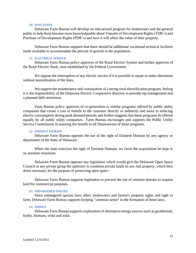# **20. EDUCATION**

<span id="page-9-0"></span>Delaware Farm Bureau will develop an educational program for landowners and the general public to help them become more knowledgeable about Transfer of Development Rights (TDR's) and Purchase of Development Rights (PDR's) and how it will affect the value of their property.

Delaware Farm Bureau supports that there should be additional vocational technical facilities made available to accommodate the percent of growth in the population.

# <span id="page-9-1"></span>**21. ELECTRICAL SERVICE**

Delaware Farm Bureau policy approves of the Rural Electric System and further approves of the Rural Electric Bank, now established by the Federal Government.

We oppose the interruption of any electric service if it is possible to repair or make alterations without neutralization of the lines.

We support the maintenance and continuation of a strong rural electrification program, feeling it is the responsibility of the Delaware Electric Cooperative directors to provide top management and a planned debt retirement.

Farm Bureau policy approves of co-generation or similar programs offered by public utility companies that create a cost or benefit to the customer directly or indirectly and assist in reducing electric consumption during peak demand periods and further suggests that these programs be offered equally by all public utility companies. Farm Bureau encourages and supports the Public Utility Service Commission in assuring the benefit to all Delawareans of these programs.

#### **22. EMINENT DOMAIN**

<span id="page-9-2"></span>Delaware Farm Bureau opposes the use of the right of Eminent Domain by any agency or department of the State of Delaware.

When the state exercises the right of Eminent Domain, we favor the acquisitions be kept to an absolute minimum.

Delaware Farm Bureau opposes any legislation which would give the Delaware Open Space Council or any private group the authority to condemn private lands on any real property, which they deem necessary for the purpose of preserving open space.

Delaware Farm Bureau supports legislation to prevent the use of eminent domain to acquire land for commercial purposes.

#### <span id="page-9-3"></span>**23. ENDANGERED SPECIES**

Since endangered species laws affect landowners and farmer's property rights and right to farm, Delaware Farm Bureau supports keeping "common sense" in the formation of these laws.

#### **24. ENERGY**

<span id="page-9-4"></span>Delaware Farm Bureau supports exploration of alternative energy sources such as geothermal, hydro, biomass, wind and solar.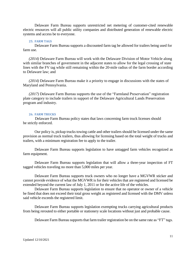Delaware Farm Bureau supports unrestricted net metering of customer-cited renewable electric resources will all public utility companies and distributed generation of renewable electric systems and access be to everyone.

# **25. FARM TAGS**

<span id="page-10-0"></span>Delaware Farm Bureau supports a discounted farm tag be allowed for trailers being used for farm use.

*(2014)* Delaware Farm Bureau will work with the Delaware Division of Motor Vehicle along with similar branches of government in the adjacent states to allow for the legal crossing of state lines with the FV tag while still remaining within the 20-mile radius of the farm border according to Delaware law; and

*(2014)* Delaware Farm Bureau make it a priority to engage in discussions with the states of Maryland and Pennsylvania.

*(2017)* Delaware Farm Bureau supports the use of the "Farmland Preservation" registration plate category to include trailers in support of the Delaware Agricultural Lands Preservation program and industry.

# <span id="page-10-1"></span>**26. FARM TRUCKS**

 Delaware Farm Bureau policy states that laws concerning farm truck licenses should be strictly enforced.

Our policy is, pickup trucks towing cattle and other trailers should be licensed under the same provision as normal truck trailers, thus allowing for licensing based on the total weight of trucks and trailers, with a minimum registration fee to apply to the trailer.

Delaware Farm Bureau supports legislation to have untagged farm vehicles recognized as farm equipment.

Delaware Farm Bureau supports legislation that will allow a three-year inspection of FT tagged vehicles traveling no more than 5,000 miles per year.

Delaware Farm Bureau supports truck owners who no longer have a MGVWR sticker and cannot provide evidence of what the MGVWR is for their vehicles that are registered and licensed be extended beyond the current law of July 1, 2011 or for the active life of the vehicles.

Delaware Farm Bureau supports legislation to ensure that no operator or owner of a vehicle be fined that does not exceed their total gross weight as registered and licensed with the DMV unless said vehicle exceeds the registered limit.

Delaware Farm Bureau supports legislation exempting trucks carrying agricultural products from being rerouted to either portable or stationery scale locations without just and probable cause.

Delaware Farm Bureau supports that farm trailer registration be on the same rate as "FT" tags.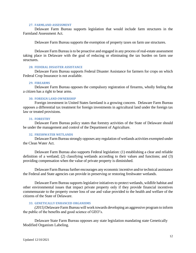#### **27. FARMLAND ASSESSMENT**

<span id="page-11-0"></span>Delaware Farm Bureau supports legislation that would include farm structures in the Farmland Assessment Act.

Delaware Farm Bureau supports the exemption of property taxes on farm use structures.

Delaware Farm Bureau is to be proactive and engaged in any process of real-estate assessment taking place in Delaware with the goal of reducing or eliminating the tax burden on farm use structures.

# <span id="page-11-1"></span>**28. FEDERAL DISASTER ASSISTANCE**

Delaware Farm Bureau supports Federal Disaster Assistance for farmers for crops on which Federal Crop Insurance is not available.

#### <span id="page-11-2"></span>**29. FIREARMS**

Delaware Farm Bureau opposes the compulsory registration of firearms, wholly feeling that a citizen has a right to bear arms.

# <span id="page-11-3"></span>**30. FOREIGN LAND OWNERSHIP**

Foreign investment in United States farmland is a growing concern. Delaware Farm Bureau opposes a differential tax treatment for foreign investments in agricultural land under the foreign tax law or treated provisions.

#### **31. FORESTRY**

<span id="page-11-4"></span>Delaware Farm Bureau policy states that forestry activities of the State of Delaware should be under the management and control of the Department of Agriculture.

# <span id="page-11-5"></span>**32. FRESHWATER WETLANDS**

Delaware Farm Bureau strongly opposes any regulation of wetlands activities exempted under the Clean Water Act.

Delaware Farm Bureau also supports Federal legislation: (1) establishing a clear and reliable definition of a wetland; (2) classifying wetlands according to their values and functions; and (3) providing compensation when the value of private property is diminished.

Delaware Farm Bureau further encourages any economic incentive and/or technical assistance the Federal and State agencies can provide in preserving or restoring freshwater wetlands.

Delaware Farm Bureau supports legislative initiatives to protect wetlands, wildlife habitat and other environmental issues that impact private property only if they provide financial incentives commensurate to the property owner loss of use and value provided to the health and welfare of the citizens of the State of Delaware.

#### **33. GENETICALLY ENHANCED ORGANISMS**

<span id="page-11-6"></span>*(2015)* Delaware Farm Bureau will work towards developing an aggressive program to inform the public of the benefits and good science of GEO's.

Delaware State Farm Bureau opposes any state legislation mandating state Genetically Modified Organism Labeling.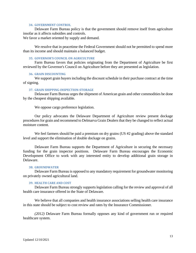# **34. GOVERNMENT CONTROL**

<span id="page-12-0"></span>Delaware Farm Bureau policy is that the government should remove itself from agriculture insofar as it affects subsidies and controls.

We favor a market oriented by supply and demand.

We resolve that in peacetime the Federal Government should not be permitted to spend more than its income and should maintain a balanced budget.

# **35. GOVERNOR'S COUNCIL ON AGRICULTURE**

<span id="page-12-1"></span>Farm Bureau favors that policies originating from the Department of Agriculture be first reviewed by the Governor's Council on Agriculture before they are presented as legislation.

# **36. GRAIN DISCOUNTING**

<span id="page-12-2"></span>We support grain buyers including the discount schedule in their purchase contract at the time of signing.

# <span id="page-12-3"></span>**37. GRAIN SHIPPING-INSPECTION-STORAGE**

Delaware Farm Bureau urges the shipment of American grain and other commodities be done by the cheapest shipping available.

We oppose cargo preference legislation.

Our policy advocates the Delaware Department of Agriculture review present dockage procedures for grain and recommend to Delmarva Grain Dealers that they be changed to reflect actual moisture content.

We feel farmers should be paid a premium on dry grains (US #2 grading) above the standard level and support the elimination of double dockage on grains.

Delaware Farm Bureau supports the Department of Agriculture in securing the necessary funding for the grain inspector positions. Delaware Farm Bureau encourages the Economic Development Office to work with any interested entity to develop additional grain storage in Delaware.

#### <span id="page-12-4"></span>**38. GROUNDWATER**

Delaware Farm Bureau is opposed to any mandatory requirement for groundwater monitoring on privately owned agricultural land.

# <span id="page-12-5"></span>**39. HEALTH CARE AND COST**

Delaware Farm Bureau strongly supports legislation calling for the review and approval of all health care insurance offered in the State of Delaware.

We believe that all companies and health insurance associations selling health care insurance in this state should be subject to cost review and rates by the Insurance Commissioner.

*(2012)* Delaware Farm Bureau formally opposes any kind of government run or required healthcare system.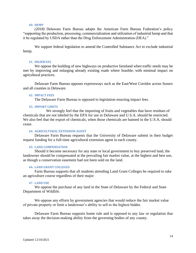# **40. HEMP**

<span id="page-13-0"></span>*(2018)* Delaware Farm Bureau adopts the American Farm Bureau Federation's policy "supporting the production, processing, commercialization and utilization of industrial hemp and that it be regulated by USDA rather than the Drug Enforcement Administration (DEA)."

We support federal legislation to amend the Controlled Substance Act to exclude industrial hemp.

#### **41. HIGHWAYS**

<span id="page-13-1"></span>We oppose the building of new highways on productive farmland when traffic needs may be met by improving and enlarging already existing roads where feasible, with minimal impact on agricultural practices.

Delaware Farm Bureau opposes expressways such as the East/West Corridor across Sussex and all counties in Delaware.

#### <span id="page-13-2"></span>**42. IMPACT FEES**

The Delaware Farm Bureau is opposed to legislation enacting impact fees.

#### **43. IMPORT LIMITS**

<span id="page-13-3"></span>We strongly feel that the importing of fruits and vegetables that have residues of chemicals that are not labeled by the EPA for use in Delaware and U.S.A. should be restricted. We also feel that the export of chemicals, when those chemicals are banned in the U.S.A. should cease.

# **44. AGRICULTURAL EXTENSION AGENT**

<span id="page-13-4"></span>Delaware Farm Bureau requests that the University of Delaware submit in their budget request funding for a full-time agricultural extension agent in each county.

# <span id="page-13-5"></span>**45. LAND COMPENSATION**

Should it become necessary for any state or local government to buy preserved land, the landowner should be compensated at the prevailing fair market value, at the highest and best use, as though a conservation easement had not been sold on the land.

# <span id="page-13-6"></span>**46. LAND GRANT COLLEGES**

Farm Bureau supports that all students attending Land Grant Colleges be required to take an agriculture course regardless of their major

#### **47. LAND USE**

<span id="page-13-7"></span>We oppose the purchase of any land in the State of Delaware by the Federal and State Department of Wildlife.

We oppose any efforts by government agencies that would reduce the fair market value of private property or limit a landowner's ability to sell to the highest bidder.

Delaware Farm Bureau supports home rule and is opposed to any law or regulation that takes away the decision-making ability from the governing bodies of any county.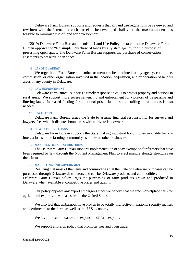Delaware Farm Bureau supports and requests that all land use regulations be reviewed and rewritten with the intent that each parcel to be developed shall yield the maximum densities feasible to minimize use of land for development.

(2019) Delaware Farm Bureau amends its Land Use Policy to state that the Delaware Farm Bureau opposes the "fee simple" purchase of lands by any state agency for the purpose of preserving open space. The Delaware Farm Bureau supports the purchase of conservation easements to preserve open space.

# <span id="page-14-0"></span>**48. LANDFILL AREAS**

We urge that a Farm Bureau member or members be appointed to any agency, committee, commission, or other organization involved in the location, acquisition, and/or operation of landfill areas in any county in Delaware.

# <span id="page-14-1"></span>**49. LAW ENFORCEMENT**

Delaware Farm Bureau supports a timely response on calls to protect property and persons in rural areas. We support more severe sentencing and enforcement for violators of trespassing and littering laws. Increased funding for additional prison facilities and staffing in rural areas is also needed.

#### <span id="page-14-2"></span>**50. LEGAL FEES**

Delaware Farm Bureau urges the State to assume financial responsibility for surveys and lawyers' fees when it disputes boundaries with a private landowner.

# <span id="page-14-3"></span>**51. LOW INTEREST LOANS**

Delaware Farm Bureau supports the State making industrial bond money available for low interest loans to the farming community as it does to other businesses.

#### <span id="page-14-4"></span>**52. MANURE STORAGE STRUCTURES**

The Delaware Farm Bureau supports implementation of a tax exemption for farmers that have been required by law through the Nutrient Management Plan to erect manure storage structures on their farms.

#### **53. MARKETING AND GOVERNMENT**

<span id="page-14-5"></span>Realizing that most of the items and commodities that the State of Delaware purchases can be purchased through Delaware distributors and can be Delaware products and commodities, Delaware Farm Bureau policy urges the purchasing of farm products grown and produced in Delaware when available at competitive prices and quality.

Our policy opposes any export embargoes since we believe that the free marketplace calls for agricultural exports, as well as, sales in the United States.

We also feel that embargoes have proven to be totally ineffective in national security matters and detrimental to the farm, as well as, the U.S. economy.

We favor the continuance and expansion of farm exports.

We support a foreign policy that promotes free and open trade.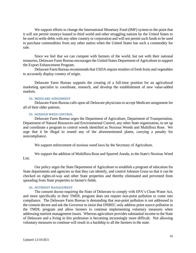We support efforts to change the International Monetary Fund (IMF) system to the point that it will not permit moneys loaned to third world and other struggling nations by the United States to be used to settle debts with any other country or corporation and will not permit such funds to be used to purchase commodities from any other nation when the United States has such a commodity for sale.

Since we feel that we can compete with farmers of the world, but not with their national treasuries, Delaware Farm Bureau encourages the United States Department of Agriculture to support the Export Enhancement Program.

Delaware Farm Bureau recommends that USDA require retailers of fresh fruits and vegetables to accurately display country of origin.

Delaware Farm Bureau supports the creating of a full-time position for an agricultural marketing specialist to coordinate, research, and develop the establishment of new value-added markets.

# <span id="page-15-0"></span>**54. MEDICARE ASSIGNMENT**

Delaware Farm Bureau calls upon all Delaware physicians to accept Medicare assignment for all of their older patients.

# **55. NOXIOUS WEED CONTROL**

<span id="page-15-1"></span>Delaware Farm Bureau urges the Department of Agriculture, Department of Transportation, Department of Natural Resources and Environmental Control, any other State organization, to set up and coordinate a program to control weeds identified as Noxious Weeds and Multiflora Rose. We urge that it be illegal to reseed any of the aforementioned plants, carrying a penalty for noncompliance.

We support enforcement of noxious weed laws by the Secretary of Agriculture.

We support the addition of Multiflora Rose and Spurred Anoda, to the State's Noxious Weed List.

Our policy urges the State Department of Agriculture to establish a program of education for State departments and agencies so that they can identify, and control Johnson Grass so that it can be checked on rights-of-way and other State properties and thereby eliminated and prevented from spreading from State properties to farmer's fields.

# <span id="page-15-2"></span>**56. NUTRIENT MANAGEMENT**

The consent decree requiring the State of Delaware to comply with EPA's Clean Water Act, and more specifically in their TMDL program does not require non-point pollution to come into compliance. The Delaware Farm Bureau is demanding that non-point pollution is not addressed in the consent decree and ask the Governor to insist that DNREC only address point source pollution in the TMDL program and allow farmers to continue implementing voluntary measures when addressing nutrient management issues. Whereas agriculture provides substantial income to the State of Delaware and a living in this profession is becoming increasingly more difficult. Not allowing voluntary measures to continue will result in a hardship to all the farmers in the state.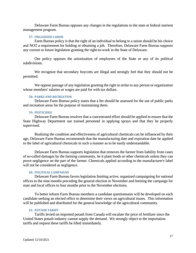Delaware Farm Bureau opposes any changes in the regulations to the state or federal nutrient management program.

#### <span id="page-16-0"></span>**57. ORGANIZED LABOR**

Farm Bureau policy is that the right of an individual to belong to a union should be his choice and NOT a requirement for holding or obtaining a job. Therefore, Delaware Farm Bureau supports any current or future legislation granting the right-to-work in the State of Delaware.

Our policy opposes the unionization of employees of the State or any of its political subdivisions.

We recognize that secondary boycotts are illegal and strongly feel that they should not be permitted.

We oppose passage of any legislation granting the right to strike to any person or organization whose members' salaries or wages are paid for with tax dollars.

# **58. PARKS AND RECREATION**

<span id="page-16-1"></span>Delaware Farm Bureau policy states that a fee should be assessed for the use of public parks and recreation areas for the purpose of maintaining them.

#### <span id="page-16-2"></span>**59. PESTICIDES**

Delaware Farm Bureau resolves that a concentrated effort should be applied to ensure that the State Highway Department use trained personnel in applying sprays and that they be properly supervised.

Realizing the condition and effectiveness of agricultural chemicals can be influenced by their age, Delaware Farm Bureau recommends that the manufacturing date and expiration date be applied to the label of agricultural chemicals in such a manner as to be easily understandable.

Delaware Farm Bureau supports legislation that removes the farmer from liability from cases of so-called damages by the farming community, be it plant foods or other chemicals unless they can prove negligence on the part of the farmer. Chemicals applied according to the manufacturer's label will not be considered as negligence.

# <span id="page-16-3"></span>**60. POLITICAL CAMPAIGNS**

Delaware Farm Bureau favors legislation limiting active, organized campaigning for national offices to the nine months preceding the general election in November and limiting the campaign for state and local offices to four months prior to the November elections.

To better inform Farm Bureau members a candidate questionnaire will be developed on each candidate seeking an elected office to determine their views on agricultural issues. This information will be published and distributed for the general knowledge of the agricultural community.

#### <span id="page-16-4"></span>**61. POTASH TARIFF**

Tariffs levied on imported potash from Canada will escalate the price of fertilizer since the United States potash industry cannot supply the demand. We strongly object to the importation tariffs and request these tariffs be lifted immediately.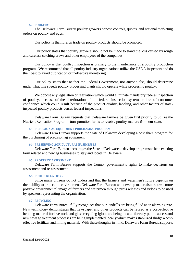# **62. POULTRY**

<span id="page-17-0"></span>The Delaware Farm Bureau poultry growers oppose controls, quotas, and national marketing orders on poultry and eggs.

Our policy is that foreign trade on poultry products should be promoted.

Our policy states that poultry growers should not be made to stand the loss caused by rough and careless catching crews and other employees of the companies.

Our policy is that poultry inspection is primary to the maintenance of a poultry production program. We recommend that all poultry industry organizations utilize the USDA inspectors and do their best to avoid duplication or ineffective monitoring.

Our policy states that neither the Federal Government, nor anyone else, should determine under what line speeds poultry processing plants should operate while processing poultry.

We oppose any legislation or regulation which would eliminate mandatory federal inspection of poultry, because of the deterioration of the federal inspection system or loss of consumer confidence which could result because of the product quality, labeling, and other factors of stateinspected poultry products verses federal inspections.

Delaware Farm Bureau requests that Delaware farmers be given first priority to utilize the Nutrient Relocation Program's transportation funds to receive poultry manure from our state.

# <span id="page-17-1"></span>**63. PRECISION AG EQUIPMENT PURCHASING PROGRAM**

Delaware Farm Bureau supports the State of Delaware developing a cost share program for the purchasing of precision ag equipment.

#### <span id="page-17-2"></span>**64. PRESERVING AGRICULTURAL BUSINESSES**

Delaware Farm Bureau encourages the State of Delaware to develop programs to help existing farm related and new ag businesses to stay and locate in Delaware.

# <span id="page-17-3"></span>**65. PROPERTY ASSESSMENT**

Delaware Farm Bureau supports the County government's rights to make decisions on assessment and re-assessment.

# <span id="page-17-4"></span>**66. PUBLIC RELATIONS**

Since many citizens do not understand that the farmers and watermen's future depends on their ability to protect the environment, Delaware Farm Bureau will develop materials to show a more positive environmental image of farmers and watermen through press releases and videos to be used by speakers representing the organization.

# <span id="page-17-5"></span>**67. RECYCLING**

Delaware Farm Bureau fully recognizes that our landfills are being filled at an alarming rate. New technology demonstrates that newspaper and other products can be reused as a cost-effective bedding material for livestock and glass recycling igloos are being located for easy public access and new sewage treatment processes are being implemented locally which makes stabilized sludge a costeffective fertilizer and liming material. With these thoughts in mind, Delaware Farm Bureau supports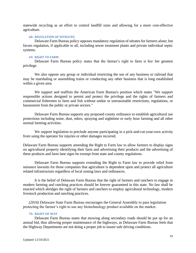statewide recycling as an effort to control landfill sizes and allowing for a more cost-effective agriculture.

# <span id="page-18-0"></span>**68. REGULATION OF NITRATES**

Delaware Farm Bureau policy opposes mandatory regulation of nitrates for farmers alone; but favors regulation, if applicable to all, including sewer treatment plants and private individual septic systems.

# <span id="page-18-1"></span>**69. RIGHT TO FARM**

Delaware Farm Bureau policy states that the farmer's right to farm is his/ her greatest privilege.

We also oppose any group or individual restricting the use of any business or railroad that may be marshaling or assembling trains or conducting any other business that is long established within a given area.

We support and reaffirm the American Farm Bureau's position which states "We support responsible actions designed to permit and protect the privilege and the rights of farmers and commercial fishermen to farm and fish without undue or unreasonable restrictions, regulations, or harassment from the public or private sectors."

Delaware Farm Bureau supports any proposed county ordinance to establish agricultural use protections including noise, dust, odors, spraying and nighttime or early hour farming and all other normal farming activities.

We support legislation to preclude anyone participating in a pick-and-cut-your-own activity from suing the operator for injuries or other damages incurred.

Delaware Farm Bureau supports amending the Right to Farm law to allow farmers to display signs on agricultural property identifying their farm and advertising their products and the advertising of these products and farm lane signs be exempt from state and county regulations.

Delaware Farm Bureau supports extending the Right to Farm law to provide relief from nuisance lawsuits for those companies that agriculture is dependent upon and protect all agriculture related infrastructure regardless of local zoning laws and ordinances.

It is the belief of Delaware Farm Bureau that the right of farmers and ranchers to engage in modern farming and ranching practices should be forever guaranteed in this state. No law shall be enacted which abridges the right of farmers and ranchers to employ agricultural technology, modern livestock production and ranching practices.

*(2016)* Delaware State Farm Bureau encourages the General Assembly to pass legislation protecting the farmer's right to use any biotechnology product available on the market.

# <span id="page-18-2"></span>**70. RIGHT-OF-WAY**

Delaware Farm Bureau states that mowing along secondary roads should be put up for an annual bid, thus allowing proper maintenance of the highways, as Delaware Farm Bureau feels that the Highway Departments are not doing a proper job to insure safe driving conditions.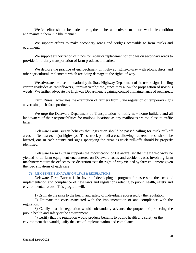We feel effort should be made to bring the ditches and culverts to a more workable condition and maintain them in a like manner.

We support efforts to make secondary roads and bridges accessible to farm trucks and equipment.

We support authorization of funds for repair or replacement of bridges on secondary roads to provide for orderly transportation of farm products to market.

We deplore the practice of encroachment on highway rights-of-way with plows, discs, and other agricultural implements which are doing damage to the rights-of-way.

We advocate the discontinuation by the State Highway Department of the use of signs labeling certain roadsides as "wildflowers," "crown vetch," etc., since they allow the propagation of noxious weeds. We further advocate the Highway Department regaining control of maintenance of such areas.

Farm Bureau advocates the exemption of farmers from State regulation of temporary signs advertising their farm products.

We urge the Delaware Department of Transportation to notify new home builders and all landowners of their responsibilities for mailbox locations as any mailboxes are too close to traffic lanes.

Delaware Farm Bureau believes that legislation should be passed calling for truck pull-off areas on Delaware's major highways. These truck pull-off areas, allowing truckers to rest, should be located, one in each county and signs specifying the areas as truck pull-offs should be properly identified.

Delaware Farm Bureau supports the modification of Delaware law that the right-of-way be yielded to all farm equipment encountered on Delaware roads and accident cases involving farm machinery require the officer to use discretion as to the right-of-way yielded by farm equipment given the road situations of each case.

# **71. RISK-BENEFIT ANALYSIS ON LAWS & REGULATIONS**

<span id="page-19-0"></span>Delaware Farm Bureau is in favor of developing a program for assessing the costs of implementation and compliance of new laws and regulations relating to public health, safety and environmental issues. This program will:

1) Estimate the risks to the health and safety of individuals addressed by the regulation.

2) Estimate the costs associated with the implementation of and compliance with the regulation.

3) Certify that the regulation would substantially advance the purpose of protecting the public health and safety or the environment.

4) Certify that the regulation would produce benefits to public health and safety or the environment that would justify the cost of implementation and compliance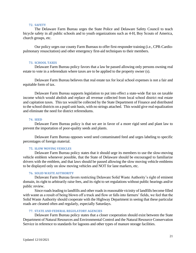# **72. SAFETY**

<span id="page-20-0"></span>The Delaware Farm Bureau urges the State Police and Delaware Safety Council to teach bicycle safety in all public schools and to youth organizations such as 4-H, Boy Scouts of America, church groups, etc.

Our policy urges our county Farm Bureaus to offer first-responder training (i.e., CPR-Cardiopulmonary resuscitation) and other emergency first-aid techniques to their members.

#### <span id="page-20-1"></span>**73. SCHOOL TAXES**

Delaware Farm Bureau policy favors that a law be passed allowing only persons owning real estate to vote in a referendum where taxes are to be applied to the property owner (s).

Delaware Farm Bureau believes that real estate tax for local school expenses is not a fair and equitable form of tax.

Delaware Farm Bureau supports legislation to put into effect a state-wide flat tax on taxable income which would abolish and replace all revenue collected from local school district real estate and capitation taxes. This tax would be collected by the State Department of Finance and distributed to the school districts on a pupil unit basis, with no strings attached. This would give real equalization and eliminate the need for district referendums.

# **74. SEED**

<span id="page-20-2"></span>Delaware Farm Bureau policy is that we are in favor of a more rigid seed and plant law to prevent the importation of poor-quality seeds and plants.

Delaware Farm Bureau opposes weed seed contaminated feed and urges labeling to specific percentages of foreign material.

#### **75. SLOW MOVING VEHICLES**

<span id="page-20-3"></span>Delaware Farm Bureau policy states that it should urge its members to use the slow-moving vehicle emblem whenever possible, that the State of Delaware should be encouraged to familiarize drivers with the emblem, and that laws should be passed allowing the slow moving vehicle emblems to be displayed only on slow moving vehicles and NOT for lane markers, etc.

# **76. SOLID WASTE AUTHORITY**

<span id="page-20-4"></span>Delaware Farm Bureau favors restricting Delaware Solid Waste Authority's right of eminent domain, its right to arbitrarily raise fees, and its right to set regulations without public hearings and/or public review.

Since roads leading to landfills and other roads in reasonable vicinity of landfills become filled with waste as a result of being blown off a truck and flow or falls into farmers' fields, we feel that the Solid Waste Authority should cooperate with the Highway Department in seeing that these particular roads are cleaned often and regularly, especially Saturdays.

# <span id="page-20-5"></span>**77. STATE AND FEDERAL REGULATORY AGENCIES**

Delaware Farm Bureau policy states that a closer cooperation should exist between the State Department of Natural Resources and Environmental Control and the Natural Resource Conservation Service in reference to standards for lagoons and other types of manure storage facilities.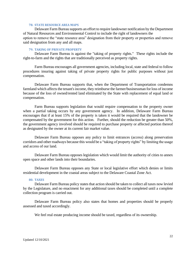# **78. STATE RESOURCE AREA MAPS**

<span id="page-21-0"></span>Delaware Farm Bureau supports an effort to require landowner notification by the Department of Natural Resources and Environmental Control to include the right of landowners the option to remove the "state resource area" designation from their property or properties and remove said designation from any and all maps.

# <span id="page-21-1"></span>**79. TAKING OF PRIVATE PROPERTY**

Delaware Farm Bureau is against the "taking of property rights." These rights include the right-to-farm and the rights that are traditionally perceived as property rights.

Farm Bureau encourages all government agencies, including local, state and federal to follow procedures insuring against taking of private property rights for public purposes without just compensation.

Delaware Farm Bureau supports that, when the Department of Transportation condemns farmland which affects the tenant's income, they reimburse the farmer/businessman for loss of income because of the loss of owned/rented land eliminated by the State with replacement of equal land or compensation.

Farm Bureau supports legislation that would require compensation to the property owner when a partial taking occurs by any government agency. In addition, Delaware Farm Bureau encourages that if at least 15% of the property is taken it would be required that the landowner be compensated by the government for this action. Further, should the reduction be greater than 50%, the government agency involved should be required to purchase property or affected portion thereof as designated by the owner at its current fair market value.

Delaware Farm Bureau opposes any policy to limit entrances (access) along preservation corridors and other roadways because this would be a "taking of property rights" by limiting the usage and access of our land.

Delaware Farm Bureau opposes legislation which would limit the authority of cities to annex open space and other lands into their boundaries.

Delaware Farm Bureau opposes any State or local legislative effort which denies or limits residential development in the coastal areas subject to the Delaware Coastal Zone Act.

# <span id="page-21-2"></span>**80. TAXES**

Delaware Farm Bureau policy states that action should be taken to collect all taxes now levied by the Legislature, and no enactment for any additional taxes should be completed until a complete collection program is carried out.

Delaware Farm Bureau policy also states that homes and properties should be properly assessed and taxed accordingly.

We feel real estate producing income should be taxed, regardless of its ownership.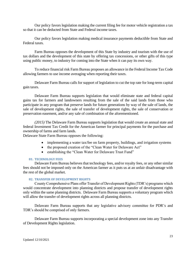Our policy favors legislation making the current filing fee for motor vehicle registration a tax so that it can be deducted from State and Federal income taxes.

Our policy favors legislation making medical insurance payments deductible from State and Federal taxes.

Farm Bureau opposes the development of this State by industry and tourism with the use of tax dollars and the development of this state by offering tax concessions, or other gifts of this type using public money, to industry for coming into the State when it can pay its own way.

To reduce financial risk Farm Bureau proposes an allowance in the Federal Income Tax Code allowing farmers to use income averaging when reporting their taxes.

Delaware Farm Bureau calls for support of legislation to cut the top rate for long-term capital gain taxes.

Delaware Farm Bureau supports legislation that would eliminate state and federal capital gains tax for farmers and landowners resulting from the sale of the said lands from those who participate in any program that preserve lands for future generations by way of the sale of lands, the sale of development rights, the sale of transfer of development rights, the sale of conservation or preservation easement, and/or any sale of combination of the aforementioned.

*(2015)* The Delaware Farm Bureau supports legislation that would create an annual state and federal Investment Tax Credit for the American farmer for principal payments for the purchase and ownership of farms and farm lands.

Delaware State Farm Bureau opposes the following:

- implementing a water tax/fee on farm property, buildings, and irrigation systems
- the proposed creation of the "Clean Water for Delaware Act"
- establishing the "Clean Water for Delaware Trust Fund"

# **81. TECHNOLOGY FEES**

<span id="page-22-0"></span>Delaware Farm Bureau believes that technology fees, and/or royalty fees, or any other similar fees should not be imposed only on the American farmer as it puts us at an unfair disadvantage with the rest of the global market.

# **82. TRANSFER OF DEVELOPMENT RIGHTS**

<span id="page-22-1"></span>County Comprehensive Plans offer Transfer of Development Rights (TDR's) programs which would concentrate development into planning districts and propose transfer of development rights only within the same planning districts. Delaware Farm Bureau supports a voluntary program which will allow the transfer of development rights across all planning districts.

Delaware Farm Bureau supports that any legislative advisory committee for PDR's and TDR's should be comprised of only farmers.

Delaware Farm Bureau supports incorporating a special development zone into any Transfer of Development Rights legislation.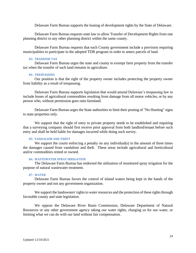Delaware Farm Bureau supports the leasing of development rights by the State of Delaware.

Delaware Farm Bureau requests state law to allow Transfer of Development Rights from one planning district to any other planning district within the same county.

Delaware Farm Bureau requests that each County government include a provision requiring municipalities to participate in the adopted TDR program in order to annex parcels of land.

# <span id="page-23-0"></span>**83. TRANSFER TAX**

Delaware Farm Bureau urges the state and county to exempt farm property from the transfer tax when the transfer of such land remains in agriculture.

#### **84. TRESPASSING**

<span id="page-23-1"></span>Our position is that the right of the property owner includes protecting the property owner from liability as a result of trespassing.

Delaware Farm Bureau supports legislation that would amend Delaware's trespassing law to include losses of agricultural commodities resulting from damage from all motor vehicles, or by any person who, without permission goes onto farmland.

Delaware Farm Bureau urges the State authorities to limit their posting of "No Hunting" signs to state properties only.

We support that the right of entry to private property needs to be established and requiring that a surveying company should first receive prior approval from both landlord/tenant before such entry and shall be held liable for damages incurred while doing such survey.

#### <span id="page-23-2"></span>**85. VANDALISM AND THEFT**

We support the courts enforcing a penalty on any individual(s) in the amount of three times the damages caused from vandalism and theft. These areas include agricultural and horticultural and/or commodities rented or owned.

# <span id="page-23-3"></span>**86. WASTEWATER SPRAY IRRIGATION**

The Delaware Farm Bureau has endorsed the utilization of monitored spray irrigation for the purpose of natural wastewater treatment.

# <span id="page-23-4"></span>**87. WATER**

Delaware Farm Bureau favors the control of inland waters being kept in the hands of the property owner and not any government organization.

We support the landowners' rights to water resources and the protection of these rights through favorable county and state legislation.

We oppose the Delaware River Basin Commission, Delaware Department of Natural Resources or any other government agency taking our water rights, charging us for our water, or limiting what we can do with our land without fair compensation.